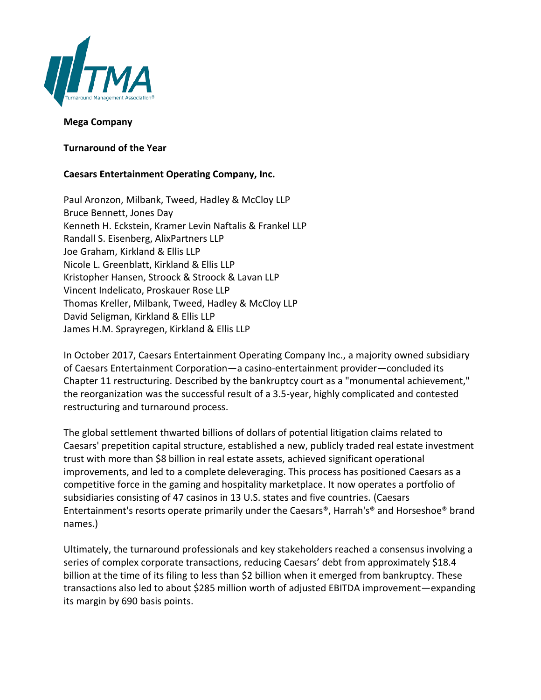

## **Mega Company**

**Turnaround of the Year**

## **Caesars Entertainment Operating Company, Inc.**

Paul Aronzon, Milbank, Tweed, Hadley & McCloy LLP Bruce Bennett, Jones Day Kenneth H. Eckstein, Kramer Levin Naftalis & Frankel LLP Randall S. Eisenberg, AlixPartners LLP Joe Graham, Kirkland & Ellis LLP Nicole L. Greenblatt, Kirkland & Ellis LLP Kristopher Hansen, Stroock & Stroock & Lavan LLP Vincent Indelicato, Proskauer Rose LLP Thomas Kreller, Milbank, Tweed, Hadley & McCloy LLP David Seligman, Kirkland & Ellis LLP James H.M. Sprayregen, Kirkland & Ellis LLP

In October 2017, Caesars Entertainment Operating Company Inc., a majority owned subsidiary of Caesars Entertainment Corporation—a casino-entertainment provider—concluded its Chapter 11 restructuring. Described by the bankruptcy court as a "monumental achievement," the reorganization was the successful result of a 3.5-year, highly complicated and contested restructuring and turnaround process.

The global settlement thwarted billions of dollars of potential litigation claims related to Caesars' prepetition capital structure, established a new, publicly traded real estate investment trust with more than \$8 billion in real estate assets, achieved significant operational improvements, and led to a complete deleveraging. This process has positioned Caesars as a competitive force in the gaming and hospitality marketplace. It now operates a portfolio of subsidiaries consisting of 47 casinos in 13 U.S. states and five countries. (Caesars Entertainment's resorts operate primarily under the Caesars®, Harrah's® and Horseshoe® brand names.)

Ultimately, the turnaround professionals and key stakeholders reached a consensus involving a series of complex corporate transactions, reducing Caesars' debt from approximately \$18.4 billion at the time of its filing to less than \$2 billion when it emerged from bankruptcy. These transactions also led to about \$285 million worth of adjusted EBITDA improvement—expanding its margin by 690 basis points.